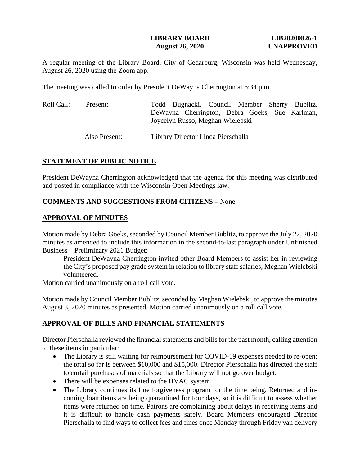## **LIBRARY BOARD LIB20200826-1 August 26, 2020 UNAPPROVED**

A regular meeting of the Library Board, City of Cedarburg, Wisconsin was held Wednesday, August 26, 2020 using the Zoom app.

The meeting was called to order by President DeWayna Cherrington at 6:34 p.m.

| Roll Call: | Present:      | Todd Bugnacki, Council Member Sherry Bublitz,                                      |
|------------|---------------|------------------------------------------------------------------------------------|
|            |               | DeWayna Cherrington, Debra Goeks, Sue Karlman,<br>Joycelyn Russo, Meghan Wielebski |
|            | Also Present: | Library Director Linda Pierschalla                                                 |

## **STATEMENT OF PUBLIC NOTICE**

President DeWayna Cherrington acknowledged that the agenda for this meeting was distributed and posted in compliance with the Wisconsin Open Meetings law.

### **COMMENTS AND SUGGESTIONS FROM CITIZENS** – None

### **APPROVAL OF MINUTES**

Motion made by Debra Goeks, seconded by Council Member Bublitz, to approve the July 22, 2020 minutes as amended to include this information in the second-to-last paragraph under Unfinished Business – Preliminary 2021 Budget:

President DeWayna Cherrington invited other Board Members to assist her in reviewing the City's proposed pay grade system in relation to library staff salaries; Meghan Wielebski volunteered.

Motion carried unanimously on a roll call vote.

Motion made by Council Member Bublitz, seconded by Meghan Wielebski, to approve the minutes August 3, 2020 minutes as presented. Motion carried unanimously on a roll call vote.

# **APPROVAL OF BILLS AND FINANCIAL STATEMENTS**

Director Pierschalla reviewed the financial statements and bills for the past month, calling attention to these items in particular:

- The Library is still waiting for reimbursement for COVID-19 expenses needed to re-open; the total so far is between \$10,000 and \$15,000. Director Pierschalla has directed the staff to curtail purchases of materials so that the Library will not go over budget.
- There will be expenses related to the HVAC system.
- The Library continues its fine forgiveness program for the time being. Returned and incoming loan items are being quarantined for four days, so it is difficult to assess whether items were returned on time. Patrons are complaining about delays in receiving items and it is difficult to handle cash payments safely. Board Members encouraged Director Pierschalla to find ways to collect fees and fines once Monday through Friday van delivery